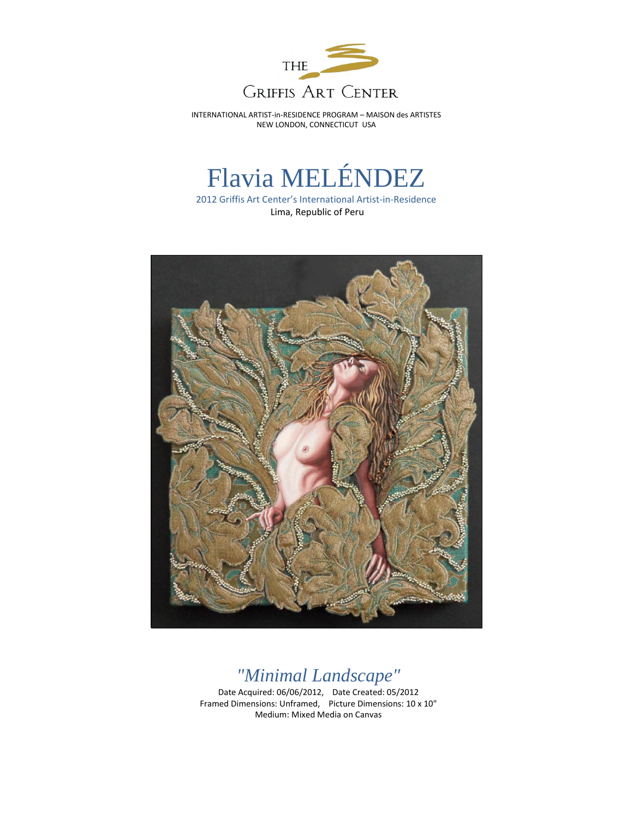

INTERNATIONAL ARTIST-in-RESIDENCE PROGRAM – MAISON des ARTISTES NEW LONDON, CONNECTICUT USA

## Flavia MELÉNDEZ

2012 Griffis Art Center's International Artist-in-Residence Lima, Republic of Peru



## *"Minimal Landscape"*

Date Acquired: 06/06/2012, Date Created: 05/2012 Framed Dimensions: Unframed, Picture Dimensions: 10 x 10" Medium: Mixed Media on Canvas